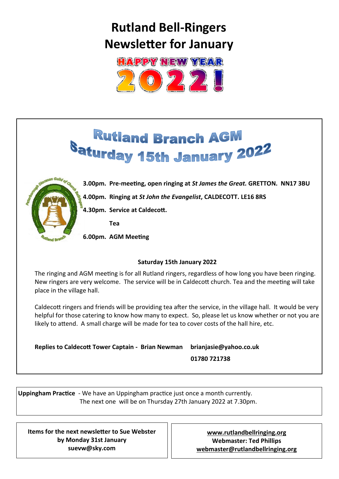# **Rutland Bell-Ringers Newsletter for January**



# **Rutland Branch AGM** Saturday 15th January 2022



**3.00pm. Pre-meeting, open ringing at** *St James the Great.* **GRETTON. NN17 3BU 4.00pm. Ringing at** *St John the Evangelist***, CALDECOTT. LE16 8RS 4.30pm. Service at Caldecott.** 

 **Tea**

**6.00pm. AGM Meeting** 

#### **Saturday 15th January 2022**

The ringing and AGM meeting is for all Rutland ringers, regardless of how long you have been ringing. New ringers are very welcome. The service will be in Caldecott church. Tea and the meeting will take place in the village hall.

Caldecott ringers and friends will be providing tea after the service, in the village hall. It would be very helpful for those catering to know how many to expect. So, please let us know whether or not you are likely to attend. A small charge will be made for tea to cover costs of the hall hire, etc.

**Replies to Caldecott Tower Captain - Brian Newman brianjasie@yahoo.co.uk**

 **01780 721738**

**Uppingham Practice** - We have an Uppingham practice just once a month currently. The next one will be on Thursday 27th January 2022 at 7.30pm.

**Items for the next newsletter to Sue Webster by Monday 31st January suevw@sky.com**

**[www.rutlandbellringing.org](http://www.rutlandbellringing.org) Webmaster: Ted Phillips [webmaster@rutlandbellringing.org](mailto:webmaster@rutlandbellringing.org)**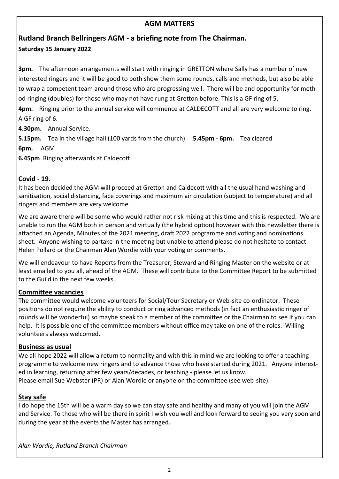## **AGM MATTERS**

# **Rutland Branch Bellringers AGM - a briefing note from The Chairman. Saturday 15 January 2022**

**3pm.** The afternoon arrangements will start with ringing in GRETTON where Sally has a number of new interested ringers and it will be good to both show them some rounds, calls and methods, but also be able to wrap a competent team around those who are progressing well. There will be and opportunity for method ringing (doubles) for those who may not have rung at Gretton before. This is a GF ring of 5.

**4pm.** Ringing prior to the annual service will commence at CALDECOTT and all are very welcome to ring. A GF ring of 6.

**4.30pm.** Annual Service.

**5.15pm.** Tea in the village hall (100 yards from the church) **5.45pm - 6pm.** Tea cleared **6pm.** AGM

**6.45pm** Ringing afterwards at Caldecott.

#### **Covid - 19.**

It has been decided the AGM will proceed at Gretton and Caldecott with all the usual hand washing and sanitisation, social distancing, face coverings and maximum air circulation (subject to temperature) and all ringers and members are very welcome.

We are aware there will be some who would rather not risk mixing at this time and this is respected. We are unable to run the AGM both in person and virtually (the hybrid option) however with this newsletter there is attached an Agenda, Minutes of the 2021 meeting, draft 2022 programme and voting and nominations sheet. Anyone wishing to partake in the meeting but unable to attend please do not hesitate to contact Helen Pollard or the Chairman Alan Wordie with your voting or comments.

We will endeavour to have Reports from the Treasurer, Steward and Ringing Master on the website or at least emailed to you all, ahead of the AGM. These will contribute to the Committee Report to be submitted to the Guild in the next few weeks.

#### **Committee vacancies**

The committee would welcome volunteers for Social/Tour Secretary or Web-site co-ordinator. These positions do not require the ability to conduct or ring advanced methods (in fact an enthusiastic ringer of rounds will be wonderful) so maybe speak to a member of the committee or the Chairman to see if you can help. It is possible one of the committee members without office may take on one of the roles. Willing volunteers always welcomed.

#### **Business as usual**

We all hope 2022 will allow a return to normality and with this in mind we are looking to offer a teaching programme to welcome new ringers and to advance those who have started during 2021. Anyone interested in learning, returning after few years/decades, or teaching - please let us know. Please email Sue Webster (PR) or Alan Wordie or anyone on the committee (see web-site).

#### **Stay safe**

I do hope the 15th will be a warm day so we can stay safe and healthy and many of you will join the AGM and Service. To those who will be there in spirit I wish you well and look forward to seeing you very soon and during the year at the events the Master has arranged.

*Alan Wordie, Rutland Branch Chairman*